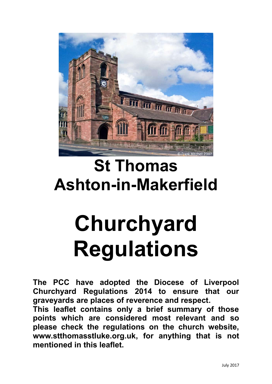

# **St Thomas Ashton-in-Makerfield**

# **Churchyard Regulations**

**The PCC have adopted the Diocese of Liverpool Churchyard Regulations 2014 to ensure that our graveyards are places of reverence and respect. This leaflet contains only a brief summary of those points which are considered most relevant and so**

**please check the regulations on the church website, [www.stthomasstluke.org.uk,](http://www.stthomasstluke.org.uk/) for anything that is not mentioned in this leaflet.**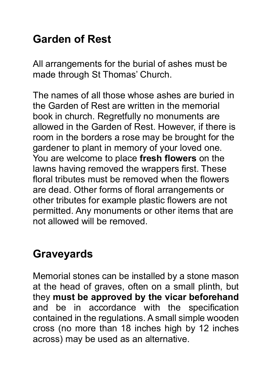# **Garden of Rest**

All arrangements for the burial of ashes must be made through St Thomas' Church.

The names of all those whose ashes are buried in the Garden of Rest are written in the memorial book in church. Regretfully no monuments are allowed in the Garden of Rest. However, if there is room in the borders a rose may be brought for the gardener to plant in memory of your loved one. You are welcome to place **fresh flowers** on the lawns having removed the wrappers first. These floral tributes must be removed when the flowers are dead. Other forms of floral arrangements or other tributes for example plastic flowers are not permitted. Any monuments or other items that are not allowed will be removed.

# **Graveyards**

Memorial stones can be installed by a stone mason at the head of graves, often on a small plinth, but they **must be approved by the vicar beforehand**  and be in accordance with the specification contained in the regulations. A small simple wooden cross (no more than 18 inches high by 12 inches across) may be used as an alternative.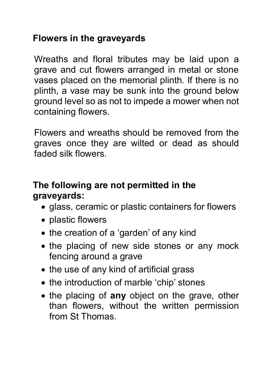### **Flowers in the graveyards**

Wreaths and floral tributes may be laid upon a grave and cut flowers arranged in metal or stone vases placed on the memorial plinth. If there is no plinth, a vase may be sunk into the ground below ground level so as not to impede a mower when not containing flowers.

Flowers and wreaths should be removed from the graves once they are wilted or dead as should faded silk flowers.

### **The following are not permitted in the graveyards:**

- glass, ceramic or plastic containers for flowers
- plastic flowers
- the creation of a 'garden' of any kind
- the placing of new side stones or any mock fencing around a grave
- the use of any kind of artificial grass
- the introduction of marble 'chip' stones
- the placing of any object on the grave, other than flowers, without the written permission from St Thomas.